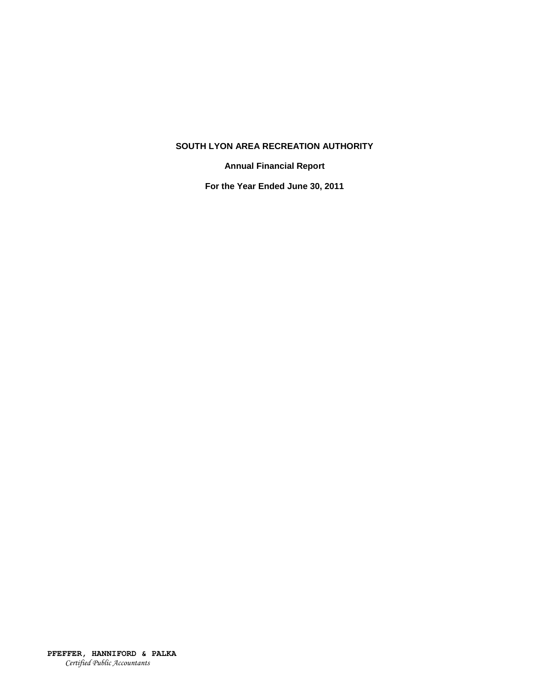**Annual Financial Report**

**For the Year Ended June 30, 2011**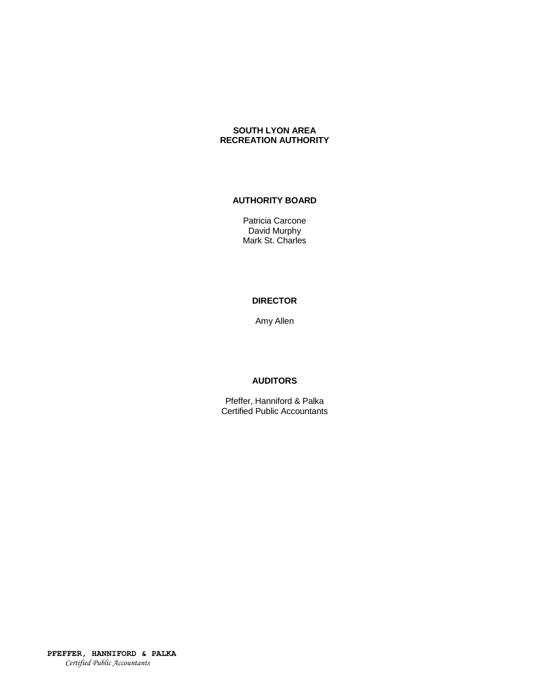# **AUTHORITY BOARD**

Patricia Carcone David Murphy Mark St. Charles

# **DIRECTOR**

Amy Allen

# **AUDITORS**

Pfeffer, Hanniford & Palka Certified Public Accountants

**PFEFFER, HANNIFORD & PALKA**  *Certified Public Accountants*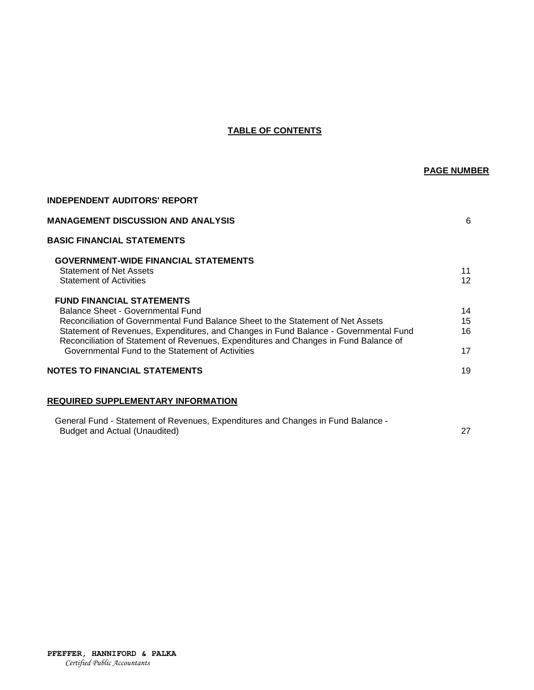# **TABLE OF CONTENTS**

# **PAGE NUMBER**

| INDEPENDENT AUDITORS' REPORT                                                                                                                                                 |    |
|------------------------------------------------------------------------------------------------------------------------------------------------------------------------------|----|
| <b>MANAGEMENT DISCUSSION AND ANALYSIS</b>                                                                                                                                    | 6  |
| BASIC FINANCIAL STATEMENTS                                                                                                                                                   |    |
| <b>GOVERNMENT-WIDE FINANCIAL STATEMENTS</b><br><b>Statement of Net Assets</b>                                                                                                | 11 |
| <b>Statement of Activities</b>                                                                                                                                               | 12 |
| <b>FUND FINANCIAL STATEMENTS</b>                                                                                                                                             |    |
| Balance Sheet - Governmental Fund                                                                                                                                            | 14 |
| Reconciliation of Governmental Fund Balance Sheet to the Statement of Net Assets                                                                                             | 15 |
| Statement of Revenues, Expenditures, and Changes in Fund Balance - Governmental Fund<br>Reconciliation of Statement of Revenues, Expenditures and Changes in Fund Balance of | 16 |
| Governmental Fund to the Statement of Activities                                                                                                                             | 17 |
| <b>NOTES TO FINANCIAL STATEMENTS</b>                                                                                                                                         | 19 |
|                                                                                                                                                                              |    |

# **REQUIRED SUPPLEMENTARY INFORMATION**

| General Fund - Statement of Revenues, Expenditures and Changes in Fund Balance - |  |
|----------------------------------------------------------------------------------|--|
| Budget and Actual (Unaudited)                                                    |  |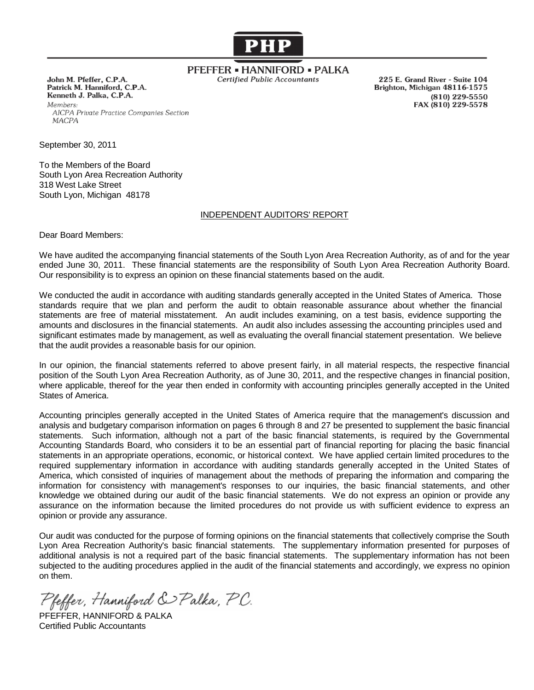

**PFEFFER • HANNIFORD • PALKA** 

**Certified Public Accountants** 

John M. Pfeffer, C.P.A. Patrick M. Hanniford, C.P.A. Kenneth J. Palka, C.P.A. Momhors. AICPA Private Practice Companies Section **MACPA** 

225 E. Grand River - Suite 104 Brighton, Michigan 48116-1575 (810) 229-5550 FAX (810) 229-5578

September 30, 2011

To the Members of the Board South Lyon Area Recreation Authority 318 West Lake Street South Lyon, Michigan 48178

#### INDEPENDENT AUDITORS' REPORT

Dear Board Members:

We have audited the accompanying financial statements of the South Lyon Area Recreation Authority, as of and for the year ended June 30, 2011. These financial statements are the responsibility of South Lyon Area Recreation Authority Board. Our responsibility is to express an opinion on these financial statements based on the audit.

We conducted the audit in accordance with auditing standards generally accepted in the United States of America. Those standards require that we plan and perform the audit to obtain reasonable assurance about whether the financial statements are free of material misstatement. An audit includes examining, on a test basis, evidence supporting the amounts and disclosures in the financial statements. An audit also includes assessing the accounting principles used and significant estimates made by management, as well as evaluating the overall financial statement presentation. We believe that the audit provides a reasonable basis for our opinion.

In our opinion, the financial statements referred to above present fairly, in all material respects, the respective financial position of the South Lyon Area Recreation Authority, as of June 30, 2011, and the respective changes in financial position, where applicable, thereof for the year then ended in conformity with accounting principles generally accepted in the United States of America.

Accounting principles generally accepted in the United States of America require that the management's discussion and analysis and budgetary comparison information on pages 6 through 8 and 27 be presented to supplement the basic financial statements. Such information, although not a part of the basic financial statements, is required by the Governmental Accounting Standards Board, who considers it to be an essential part of financial reporting for placing the basic financial statements in an appropriate operations, economic, or historical context. We have applied certain limited procedures to the required supplementary information in accordance with auditing standards generally accepted in the United States of America, which consisted of inquiries of management about the methods of preparing the information and comparing the information for consistency with management's responses to our inquiries, the basic financial statements, and other knowledge we obtained during our audit of the basic financial statements. We do not express an opinion or provide any assurance on the information because the limited procedures do not provide us with sufficient evidence to express an opinion or provide any assurance.

Our audit was conducted for the purpose of forming opinions on the financial statements that collectively comprise the South Lyon Area Recreation Authority's basic financial statements. The supplementary information presented for purposes of additional analysis is not a required part of the basic financial statements. The supplementary information has not been subjected to the auditing procedures applied in the audit of the financial statements and accordingly, we express no opinion on them.

Pfeffer, Hanniford & Palka, P.C.

PFEFFER, HANNIFORD & PALKA Certified Public Accountants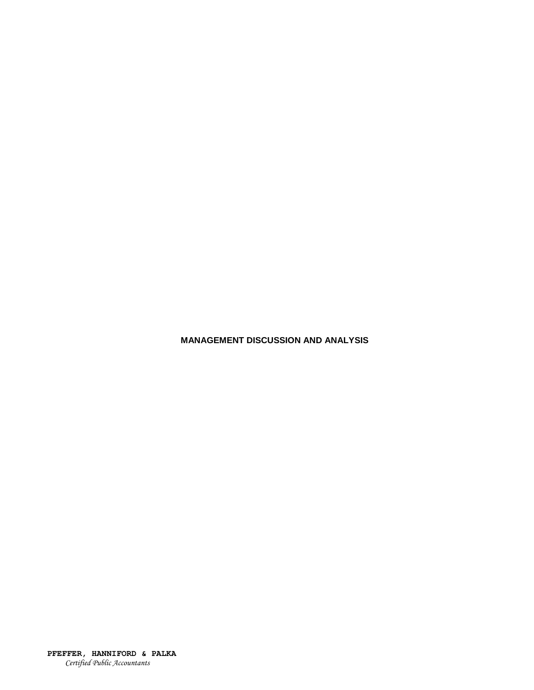**MANAGEMENT DISCUSSION AND ANALYSIS**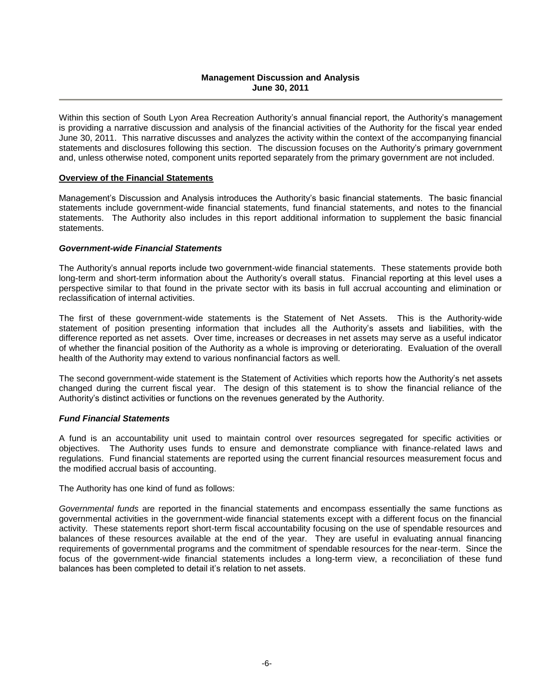# **Management Discussion and Analysis June 30, 2011**

Within this section of South Lyon Area Recreation Authority's annual financial report, the Authority's management is providing a narrative discussion and analysis of the financial activities of the Authority for the fiscal year ended June 30, 2011. This narrative discusses and analyzes the activity within the context of the accompanying financial statements and disclosures following this section. The discussion focuses on the Authority's primary government and, unless otherwise noted, component units reported separately from the primary government are not included.

#### **Overview of the Financial Statements**

Management's Discussion and Analysis introduces the Authority's basic financial statements. The basic financial statements include government-wide financial statements, fund financial statements, and notes to the financial statements. The Authority also includes in this report additional information to supplement the basic financial statements.

#### *Government-wide Financial Statements*

The Authority's annual reports include two government-wide financial statements. These statements provide both long-term and short-term information about the Authority's overall status. Financial reporting at this level uses a perspective similar to that found in the private sector with its basis in full accrual accounting and elimination or reclassification of internal activities.

The first of these government-wide statements is the Statement of Net Assets. This is the Authority-wide statement of position presenting information that includes all the Authority's assets and liabilities, with the difference reported as net assets. Over time, increases or decreases in net assets may serve as a useful indicator of whether the financial position of the Authority as a whole is improving or deteriorating. Evaluation of the overall health of the Authority may extend to various nonfinancial factors as well.

The second government-wide statement is the Statement of Activities which reports how the Authority's net assets changed during the current fiscal year. The design of this statement is to show the financial reliance of the Authority's distinct activities or functions on the revenues generated by the Authority.

# *Fund Financial Statements*

A fund is an accountability unit used to maintain control over resources segregated for specific activities or objectives. The Authority uses funds to ensure and demonstrate compliance with finance-related laws and regulations. Fund financial statements are reported using the current financial resources measurement focus and the modified accrual basis of accounting.

The Authority has one kind of fund as follows:

*Governmental funds* are reported in the financial statements and encompass essentially the same functions as governmental activities in the government-wide financial statements except with a different focus on the financial activity. These statements report short-term fiscal accountability focusing on the use of spendable resources and balances of these resources available at the end of the year. They are useful in evaluating annual financing requirements of governmental programs and the commitment of spendable resources for the near-term. Since the focus of the government-wide financial statements includes a long-term view, a reconciliation of these fund balances has been completed to detail it's relation to net assets.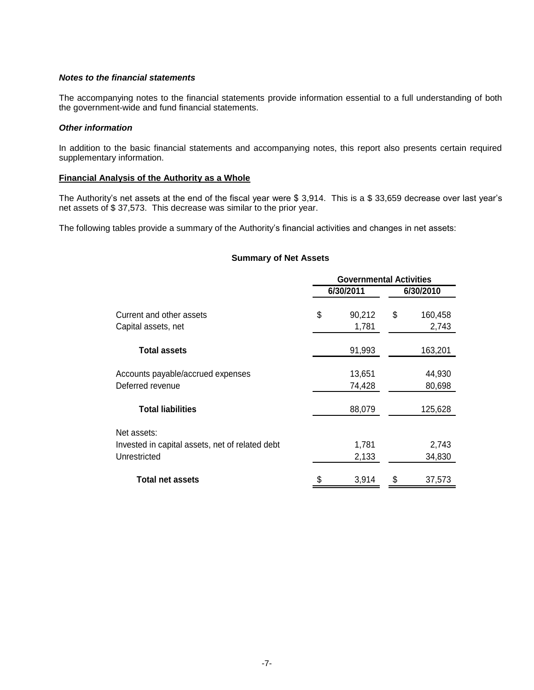# *Notes to the financial statements*

The accompanying notes to the financial statements provide information essential to a full understanding of both the government-wide and fund financial statements.

# *Other information*

In addition to the basic financial statements and accompanying notes, this report also presents certain required supplementary information.

### **Financial Analysis of the Authority as a Whole**

The Authority's net assets at the end of the fiscal year were \$ 3,914. This is a \$ 33,659 decrease over last year's net assets of \$ 37,573. This decrease was similar to the prior year.

The following tables provide a summary of the Authority's financial activities and changes in net assets:

# **Summary of Net Assets**

|                                                                                | <b>Governmental Activities</b> |                  |           |                  |  |
|--------------------------------------------------------------------------------|--------------------------------|------------------|-----------|------------------|--|
|                                                                                |                                | 6/30/2011        | 6/30/2010 |                  |  |
| Current and other assets<br>Capital assets, net                                |                                | 90,212<br>1,781  | \$        | 160,458<br>2,743 |  |
| <b>Total assets</b>                                                            |                                | 91,993           |           | 163,201          |  |
| Accounts payable/accrued expenses<br>Deferred revenue                          |                                | 13,651<br>74,428 |           | 44,930<br>80,698 |  |
| <b>Total liabilities</b>                                                       |                                | 88,079           |           | 125,628          |  |
| Net assets:<br>Invested in capital assets, net of related debt<br>Unrestricted |                                | 1,781<br>2,133   |           | 2,743<br>34,830  |  |
| <b>Total net assets</b>                                                        | \$                             | 3,914            | \$        | 37,573           |  |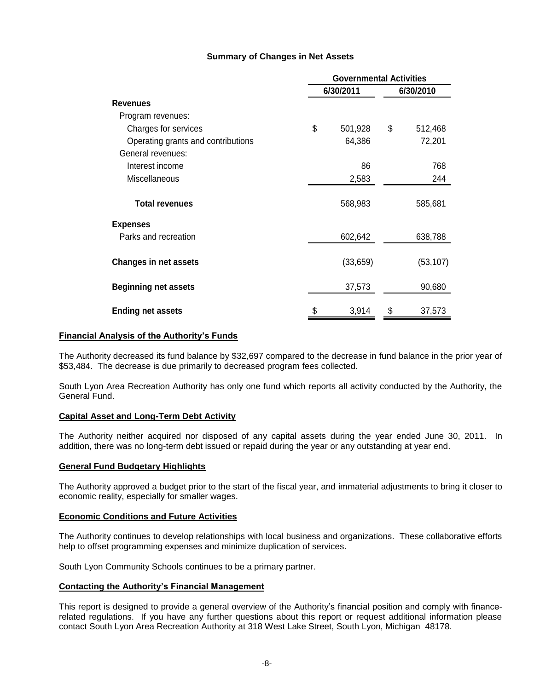# **Summary of Changes in Net Assets**

|                                    | <b>Governmental Activities</b> |    |           |  |
|------------------------------------|--------------------------------|----|-----------|--|
|                                    | 6/30/2011<br>6/30/2010         |    |           |  |
| <b>Revenues</b>                    |                                |    |           |  |
| Program revenues:                  |                                |    |           |  |
| Charges for services               | \$<br>501,928                  | \$ | 512,468   |  |
| Operating grants and contributions | 64,386                         |    | 72,201    |  |
| General revenues:                  |                                |    |           |  |
| Interest income                    | 86                             |    | 768       |  |
| <b>Miscellaneous</b>               | 2,583                          |    | 244       |  |
| <b>Total revenues</b>              | 568,983                        |    | 585,681   |  |
| <b>Expenses</b>                    |                                |    |           |  |
| Parks and recreation               | 602,642                        |    | 638,788   |  |
| <b>Changes in net assets</b>       | (33, 659)                      |    | (53, 107) |  |
| <b>Beginning net assets</b>        | 37,573                         |    | 90,680    |  |
| <b>Ending net assets</b>           | \$<br>3,914                    | \$ | 37,573    |  |

#### **Financial Analysis of the Authority's Funds**

The Authority decreased its fund balance by \$32,697 compared to the decrease in fund balance in the prior year of \$53,484. The decrease is due primarily to decreased program fees collected.

South Lyon Area Recreation Authority has only one fund which reports all activity conducted by the Authority, the General Fund.

# **Capital Asset and Long-Term Debt Activity**

The Authority neither acquired nor disposed of any capital assets during the year ended June 30, 2011. In addition, there was no long-term debt issued or repaid during the year or any outstanding at year end.

#### **General Fund Budgetary Highlights**

The Authority approved a budget prior to the start of the fiscal year, and immaterial adjustments to bring it closer to economic reality, especially for smaller wages.

#### **Economic Conditions and Future Activities**

The Authority continues to develop relationships with local business and organizations. These collaborative efforts help to offset programming expenses and minimize duplication of services.

South Lyon Community Schools continues to be a primary partner.

#### **Contacting the Authority's Financial Management**

This report is designed to provide a general overview of the Authority's financial position and comply with financerelated regulations. If you have any further questions about this report or request additional information please contact South Lyon Area Recreation Authority at 318 West Lake Street, South Lyon, Michigan 48178.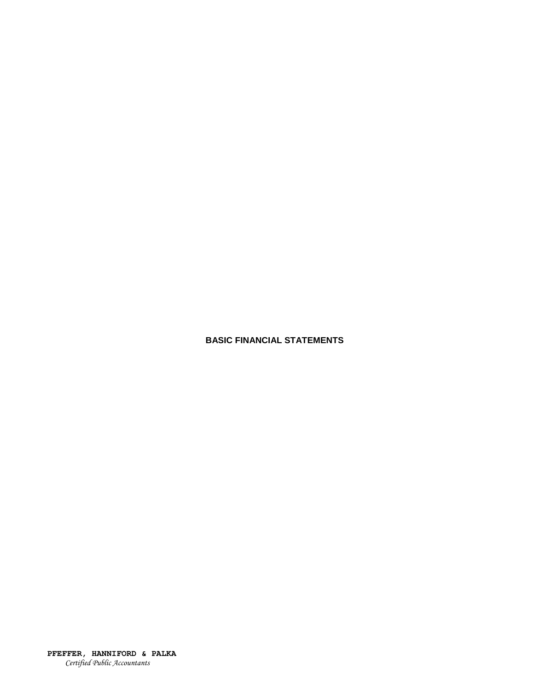# **BASIC FINANCIAL STATEMENTS**

**PFEFFER, HANNIFORD & PALKA**  *Certified Public Accountants*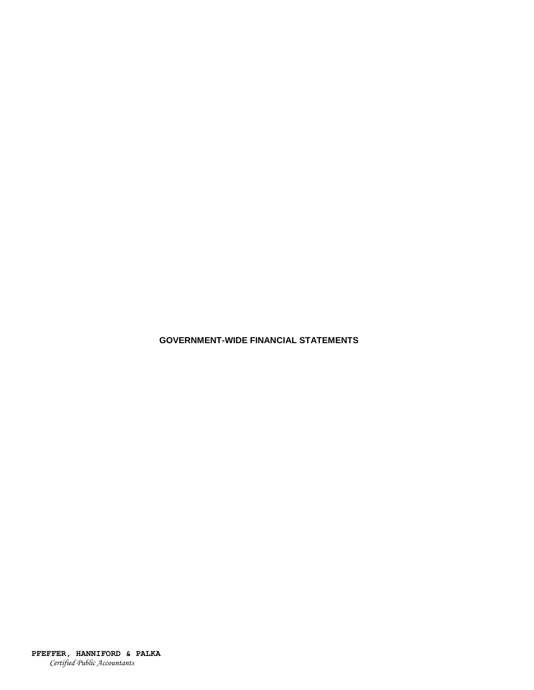**GOVERNMENT-WIDE FINANCIAL STATEMENTS**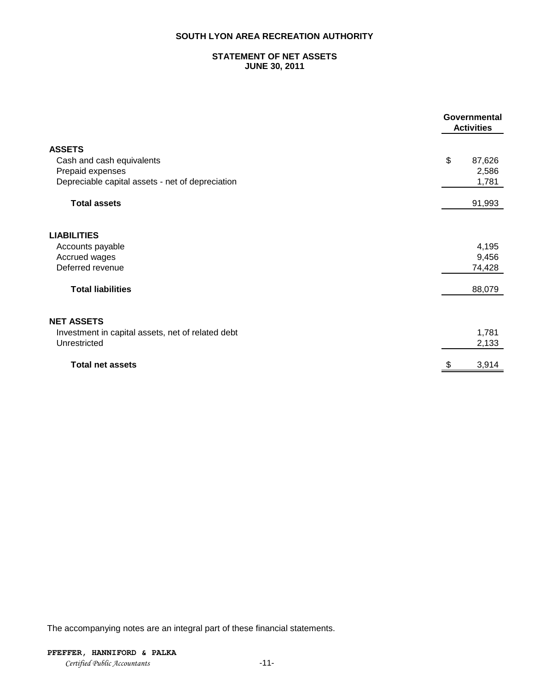# **STATEMENT OF NET ASSETS JUNE 30, 2011**

|                                                   | Governmental<br><b>Activities</b> |
|---------------------------------------------------|-----------------------------------|
| <b>ASSETS</b>                                     |                                   |
| Cash and cash equivalents                         | \$<br>87,626                      |
| Prepaid expenses                                  | 2,586                             |
| Depreciable capital assets - net of depreciation  | 1,781                             |
| <b>Total assets</b>                               | 91,993                            |
| <b>LIABILITIES</b>                                |                                   |
| Accounts payable                                  | 4,195                             |
| Accrued wages                                     | 9,456                             |
| Deferred revenue                                  | 74,428                            |
| <b>Total liabilities</b>                          | 88,079                            |
| <b>NET ASSETS</b>                                 |                                   |
| Investment in capital assets, net of related debt | 1,781                             |
| Unrestricted                                      | 2,133                             |
| <b>Total net assets</b>                           | 3,914                             |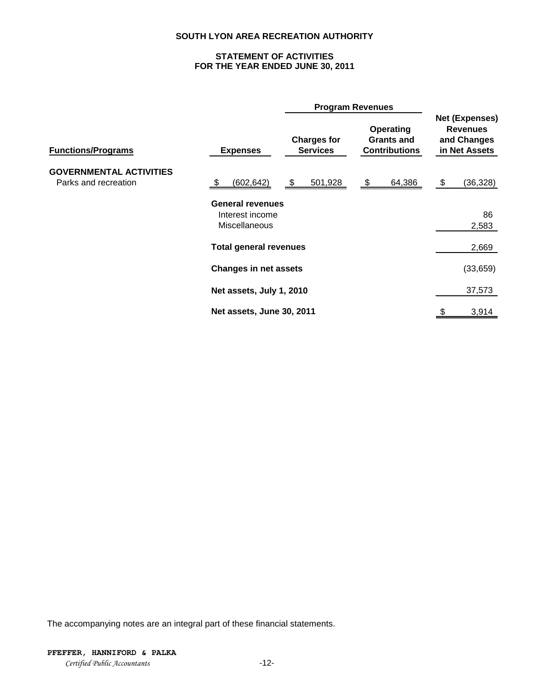# **STATEMENT OF ACTIVITIES FOR THE YEAR ENDED JUNE 30, 2011**

|                                                        |                                                                    |                                       | <b>Program Revenues</b>                                |                                                                          |
|--------------------------------------------------------|--------------------------------------------------------------------|---------------------------------------|--------------------------------------------------------|--------------------------------------------------------------------------|
| <b>Functions/Programs</b>                              | <b>Expenses</b>                                                    | <b>Charges for</b><br><b>Services</b> | Operating<br><b>Grants and</b><br><b>Contributions</b> | <b>Net (Expenses)</b><br><b>Revenues</b><br>and Changes<br>in Net Assets |
| <b>GOVERNMENTAL ACTIVITIES</b><br>Parks and recreation | (602, 642)<br>- \$                                                 | 501,928<br>- \$                       | 64,386<br>- \$                                         | (36, 328)<br>\$                                                          |
|                                                        | <b>General revenues</b><br>Interest income<br><b>Miscellaneous</b> |                                       |                                                        | 86<br>2,583                                                              |
|                                                        | <b>Total general revenues</b>                                      |                                       |                                                        | 2,669                                                                    |
|                                                        | <b>Changes in net assets</b>                                       |                                       |                                                        | (33, 659)                                                                |
|                                                        | Net assets, July 1, 2010                                           |                                       |                                                        | 37,573                                                                   |
|                                                        | Net assets, June 30, 2011                                          |                                       |                                                        | 3,914<br>\$                                                              |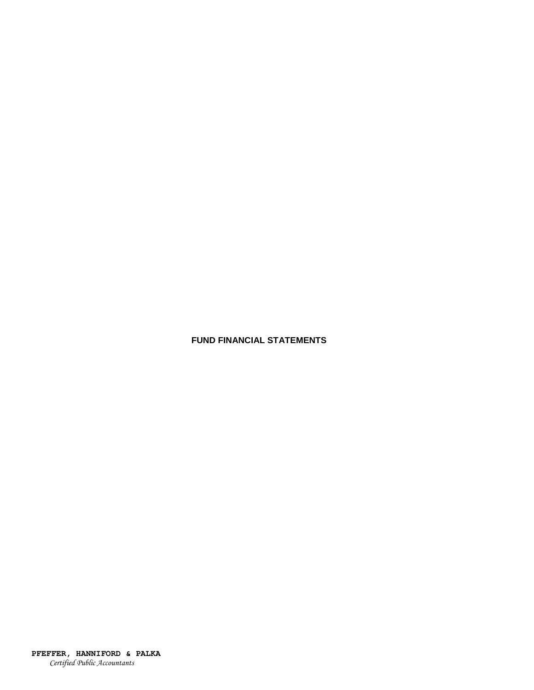# **FUND FINANCIAL STATEMENTS**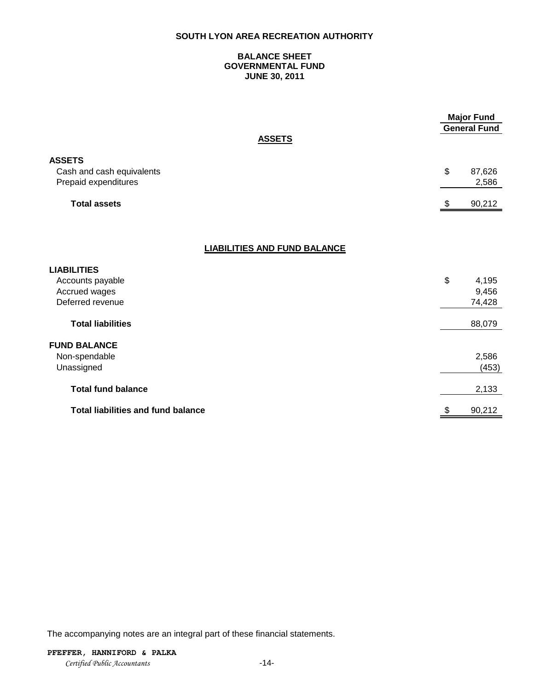# **BALANCE SHEET GOVERNMENTAL FUND JUNE 30, 2011**

|                                           |                                     | <b>Major Fund</b>   |
|-------------------------------------------|-------------------------------------|---------------------|
|                                           |                                     | <b>General Fund</b> |
|                                           | <b>ASSETS</b>                       |                     |
| <b>ASSETS</b>                             |                                     |                     |
| Cash and cash equivalents                 |                                     | \$<br>87,626        |
| Prepaid expenditures                      |                                     | 2,586               |
| <b>Total assets</b>                       |                                     | \$<br>90,212        |
|                                           |                                     |                     |
|                                           |                                     |                     |
|                                           | <b>LIABILITIES AND FUND BALANCE</b> |                     |
| <b>LIABILITIES</b>                        |                                     |                     |
| Accounts payable                          |                                     | \$<br>4,195         |
| Accrued wages                             |                                     | 9,456               |
| Deferred revenue                          |                                     | 74,428              |
| <b>Total liabilities</b>                  |                                     | 88,079              |
| <b>FUND BALANCE</b>                       |                                     |                     |
| Non-spendable                             |                                     | 2,586               |
| Unassigned                                |                                     | (453)               |
| <b>Total fund balance</b>                 |                                     | 2,133               |
| <b>Total liabilities and fund balance</b> |                                     | \$<br>90,212        |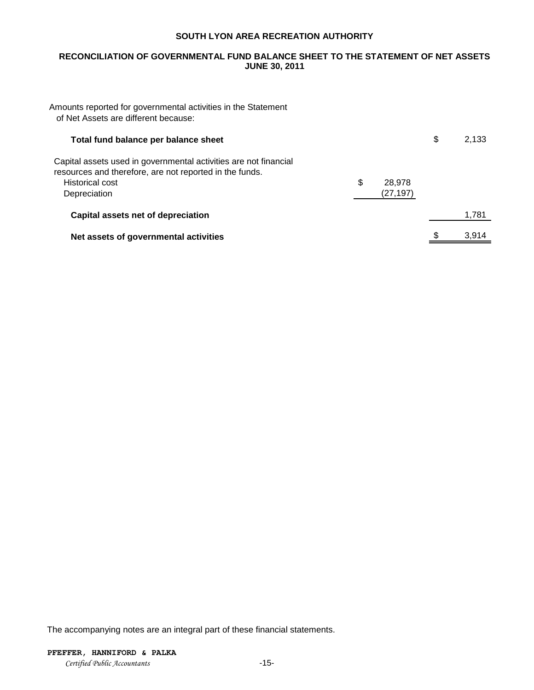# **RECONCILIATION OF GOVERNMENTAL FUND BALANCE SHEET TO THE STATEMENT OF NET ASSETS JUNE 30, 2011**

Amounts reported for governmental activities in the Statement of Net Assets are different because:

| Total fund balance per balance sheet                                                                                                                                                        | \$ | 2.133 |
|---------------------------------------------------------------------------------------------------------------------------------------------------------------------------------------------|----|-------|
| Capital assets used in governmental activities are not financial<br>resources and therefore, are not reported in the funds.<br>\$<br>28,978<br>Historical cost<br>(27, 197)<br>Depreciation |    |       |
| Capital assets net of depreciation                                                                                                                                                          |    | 1,781 |
| Net assets of governmental activities                                                                                                                                                       | £. | 3.914 |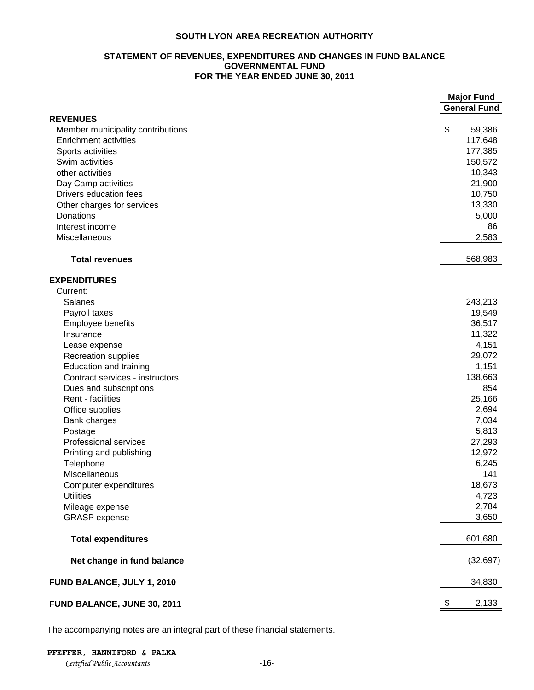# **STATEMENT OF REVENUES, EXPENDITURES AND CHANGES IN FUND BALANCE GOVERNMENTAL FUND FOR THE YEAR ENDED JUNE 30, 2011**

|                                   | <b>Major Fund</b> |                     |
|-----------------------------------|-------------------|---------------------|
|                                   |                   | <b>General Fund</b> |
| <b>REVENUES</b>                   |                   |                     |
| Member municipality contributions | \$                | 59,386              |
| <b>Enrichment activities</b>      |                   | 117,648             |
| Sports activities                 |                   | 177,385             |
| Swim activities                   |                   | 150,572             |
| other activities                  |                   | 10,343              |
| Day Camp activities               |                   | 21,900              |
| Drivers education fees            |                   | 10,750              |
| Other charges for services        |                   | 13,330              |
| Donations                         |                   | 5,000               |
| Interest income                   |                   | 86                  |
| Miscellaneous                     |                   | 2,583               |
| <b>Total revenues</b>             |                   | 568,983             |
| <b>EXPENDITURES</b>               |                   |                     |
| Current:                          |                   |                     |
| <b>Salaries</b>                   |                   | 243,213             |
| Payroll taxes                     |                   | 19,549              |
| Employee benefits                 |                   | 36,517              |
| Insurance                         |                   | 11,322              |
| Lease expense                     |                   | 4,151               |
| Recreation supplies               |                   | 29,072              |
| <b>Education and training</b>     |                   | 1,151               |
| Contract services - instructors   |                   | 138,663             |
| Dues and subscriptions            |                   | 854                 |
| Rent - facilities                 |                   | 25,166              |
| Office supplies                   |                   | 2,694               |
| Bank charges                      |                   | 7,034               |
| Postage                           |                   | 5,813               |
| Professional services             |                   | 27,293              |
| Printing and publishing           |                   | 12,972              |
| Telephone                         |                   | 6,245               |
| Miscellaneous                     |                   | 141                 |
| Computer expenditures             |                   | 18,673              |
| <b>Utilities</b>                  |                   | 4,723               |
| Mileage expense                   |                   | 2,784               |
| <b>GRASP</b> expense              |                   | 3,650               |
| <b>Total expenditures</b>         |                   | 601,680             |
| Net change in fund balance        |                   | (32, 697)           |
| FUND BALANCE, JULY 1, 2010        |                   | 34,830              |
| FUND BALANCE, JUNE 30, 2011       | \$                | 2,133               |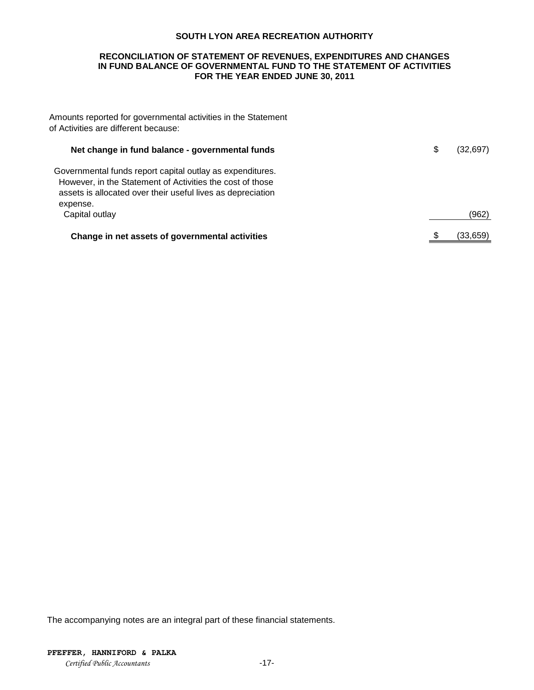### **RECONCILIATION OF STATEMENT OF REVENUES, EXPENDITURES AND CHANGES IN FUND BALANCE OF GOVERNMENTAL FUND TO THE STATEMENT OF ACTIVITIES FOR THE YEAR ENDED JUNE 30, 2011**

Amounts reported for governmental activities in the Statement of Activities are different because:

| Net change in fund balance - governmental funds                                                                                                                                                   | (32,697) |
|---------------------------------------------------------------------------------------------------------------------------------------------------------------------------------------------------|----------|
| Governmental funds report capital outlay as expenditures.<br>However, in the Statement of Activities the cost of those<br>assets is allocated over their useful lives as depreciation<br>expense. |          |
| Capital outlay                                                                                                                                                                                    | (962)    |
| Change in net assets of governmental activities                                                                                                                                                   | (33,659) |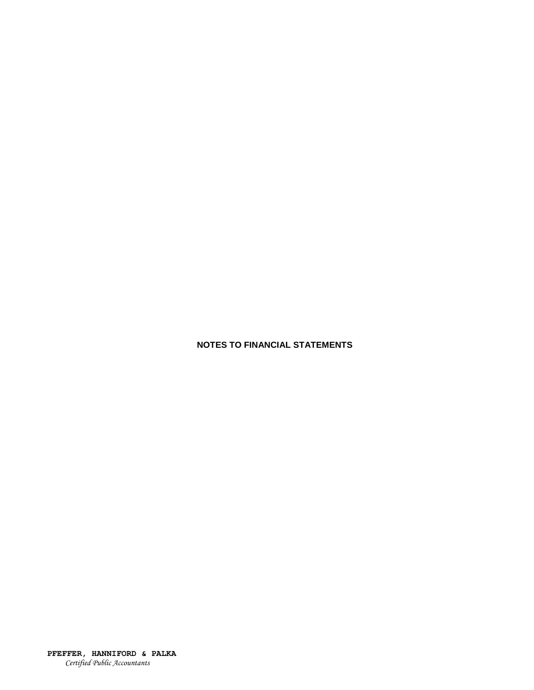**NOTES TO FINANCIAL STATEMENTS**

**PFEFFER, HANNIFORD & PALKA**  *Certified Public Accountants*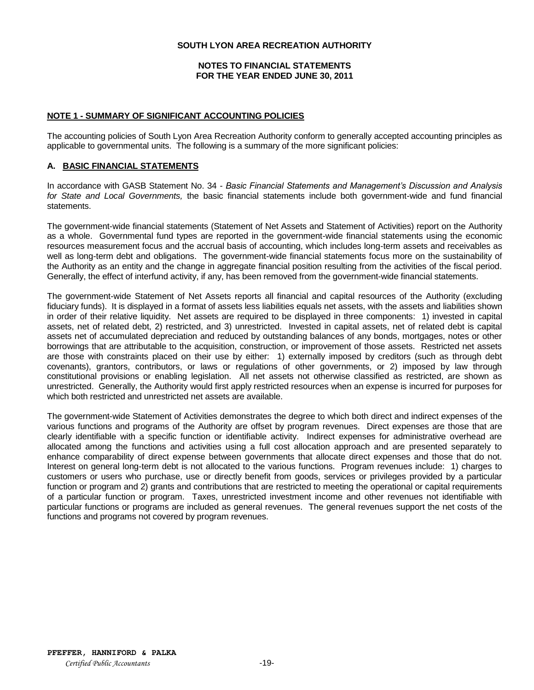# **NOTES TO FINANCIAL STATEMENTS FOR THE YEAR ENDED JUNE 30, 2011**

# **NOTE 1 - SUMMARY OF SIGNIFICANT ACCOUNTING POLICIES**

The accounting policies of South Lyon Area Recreation Authority conform to generally accepted accounting principles as applicable to governmental units. The following is a summary of the more significant policies:

# **A. BASIC FINANCIAL STATEMENTS**

In accordance with GASB Statement No. 34 *- Basic Financial Statements and Management's Discussion and Analysis for State and Local Governments,* the basic financial statements include both government-wide and fund financial statements.

The government-wide financial statements (Statement of Net Assets and Statement of Activities) report on the Authority as a whole. Governmental fund types are reported in the government-wide financial statements using the economic resources measurement focus and the accrual basis of accounting, which includes long-term assets and receivables as well as long-term debt and obligations. The government-wide financial statements focus more on the sustainability of the Authority as an entity and the change in aggregate financial position resulting from the activities of the fiscal period. Generally, the effect of interfund activity, if any, has been removed from the government-wide financial statements.

The government-wide Statement of Net Assets reports all financial and capital resources of the Authority (excluding fiduciary funds). It is displayed in a format of assets less liabilities equals net assets, with the assets and liabilities shown in order of their relative liquidity. Net assets are required to be displayed in three components: 1) invested in capital assets, net of related debt, 2) restricted, and 3) unrestricted. Invested in capital assets, net of related debt is capital assets net of accumulated depreciation and reduced by outstanding balances of any bonds, mortgages, notes or other borrowings that are attributable to the acquisition, construction, or improvement of those assets. Restricted net assets are those with constraints placed on their use by either: 1) externally imposed by creditors (such as through debt covenants), grantors, contributors, or laws or regulations of other governments, or 2) imposed by law through constitutional provisions or enabling legislation. All net assets not otherwise classified as restricted, are shown as unrestricted. Generally, the Authority would first apply restricted resources when an expense is incurred for purposes for which both restricted and unrestricted net assets are available.

The government-wide Statement of Activities demonstrates the degree to which both direct and indirect expenses of the various functions and programs of the Authority are offset by program revenues. Direct expenses are those that are clearly identifiable with a specific function or identifiable activity. Indirect expenses for administrative overhead are allocated among the functions and activities using a full cost allocation approach and are presented separately to enhance comparability of direct expense between governments that allocate direct expenses and those that do not. Interest on general long-term debt is not allocated to the various functions. Program revenues include: 1) charges to customers or users who purchase, use or directly benefit from goods, services or privileges provided by a particular function or program and 2) grants and contributions that are restricted to meeting the operational or capital requirements of a particular function or program. Taxes, unrestricted investment income and other revenues not identifiable with particular functions or programs are included as general revenues. The general revenues support the net costs of the functions and programs not covered by program revenues.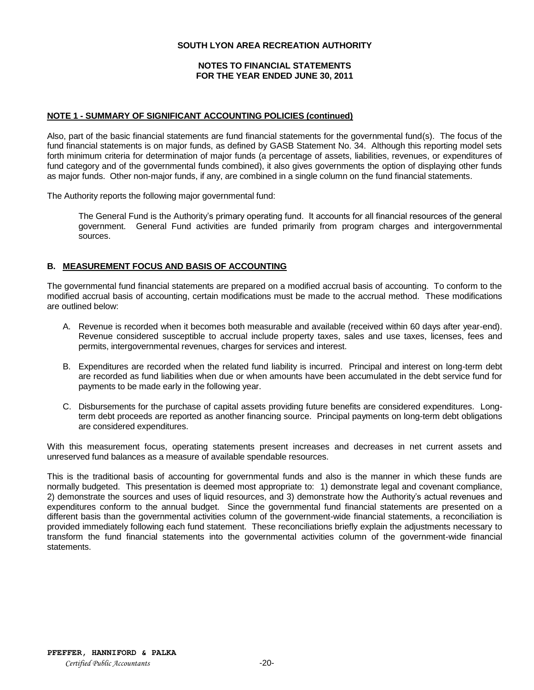# **NOTES TO FINANCIAL STATEMENTS FOR THE YEAR ENDED JUNE 30, 2011**

# **NOTE 1 - SUMMARY OF SIGNIFICANT ACCOUNTING POLICIES (continued)**

Also, part of the basic financial statements are fund financial statements for the governmental fund(s). The focus of the fund financial statements is on major funds, as defined by GASB Statement No. 34. Although this reporting model sets forth minimum criteria for determination of major funds (a percentage of assets, liabilities, revenues, or expenditures of fund category and of the governmental funds combined), it also gives governments the option of displaying other funds as major funds. Other non-major funds, if any, are combined in a single column on the fund financial statements.

The Authority reports the following major governmental fund:

The General Fund is the Authority's primary operating fund. It accounts for all financial resources of the general government. General Fund activities are funded primarily from program charges and intergovernmental sources.

# **B. MEASUREMENT FOCUS AND BASIS OF ACCOUNTING**

The governmental fund financial statements are prepared on a modified accrual basis of accounting. To conform to the modified accrual basis of accounting, certain modifications must be made to the accrual method. These modifications are outlined below:

- A. Revenue is recorded when it becomes both measurable and available (received within 60 days after year-end). Revenue considered susceptible to accrual include property taxes, sales and use taxes, licenses, fees and permits, intergovernmental revenues, charges for services and interest.
- B. Expenditures are recorded when the related fund liability is incurred. Principal and interest on long-term debt are recorded as fund liabilities when due or when amounts have been accumulated in the debt service fund for payments to be made early in the following year.
- C. Disbursements for the purchase of capital assets providing future benefits are considered expenditures. Longterm debt proceeds are reported as another financing source. Principal payments on long-term debt obligations are considered expenditures.

With this measurement focus, operating statements present increases and decreases in net current assets and unreserved fund balances as a measure of available spendable resources.

This is the traditional basis of accounting for governmental funds and also is the manner in which these funds are normally budgeted. This presentation is deemed most appropriate to: 1) demonstrate legal and covenant compliance, 2) demonstrate the sources and uses of liquid resources, and 3) demonstrate how the Authority's actual revenues and expenditures conform to the annual budget. Since the governmental fund financial statements are presented on a different basis than the governmental activities column of the government-wide financial statements, a reconciliation is provided immediately following each fund statement. These reconciliations briefly explain the adjustments necessary to transform the fund financial statements into the governmental activities column of the government-wide financial statements.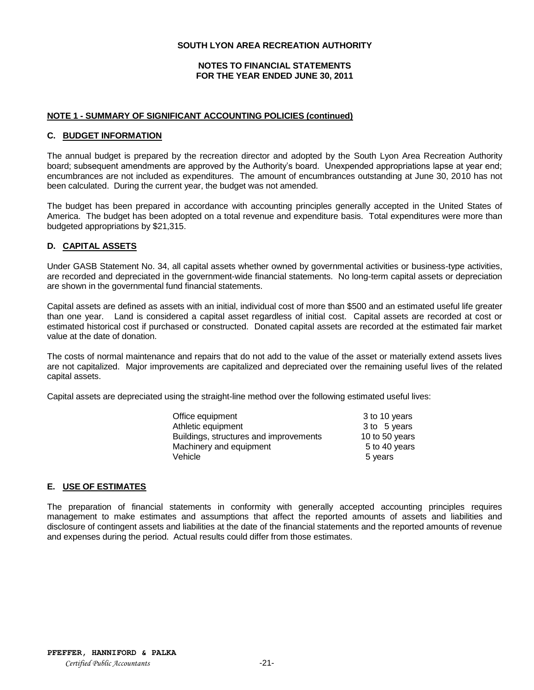# **NOTES TO FINANCIAL STATEMENTS FOR THE YEAR ENDED JUNE 30, 2011**

# **NOTE 1 - SUMMARY OF SIGNIFICANT ACCOUNTING POLICIES (continued)**

# **C. BUDGET INFORMATION**

The annual budget is prepared by the recreation director and adopted by the South Lyon Area Recreation Authority board; subsequent amendments are approved by the Authority's board. Unexpended appropriations lapse at year end; encumbrances are not included as expenditures. The amount of encumbrances outstanding at June 30, 2010 has not been calculated. During the current year, the budget was not amended.

The budget has been prepared in accordance with accounting principles generally accepted in the United States of America. The budget has been adopted on a total revenue and expenditure basis. Total expenditures were more than budgeted appropriations by \$21,315.

# **D. CAPITAL ASSETS**

Under GASB Statement No. 34, all capital assets whether owned by governmental activities or business-type activities, are recorded and depreciated in the government-wide financial statements. No long-term capital assets or depreciation are shown in the governmental fund financial statements.

Capital assets are defined as assets with an initial, individual cost of more than \$500 and an estimated useful life greater than one year. Land is considered a capital asset regardless of initial cost. Capital assets are recorded at cost or estimated historical cost if purchased or constructed. Donated capital assets are recorded at the estimated fair market value at the date of donation.

The costs of normal maintenance and repairs that do not add to the value of the asset or materially extend assets lives are not capitalized. Major improvements are capitalized and depreciated over the remaining useful lives of the related capital assets.

Capital assets are depreciated using the straight-line method over the following estimated useful lives:

| Office equipment                       | 3 to 10 years  |
|----------------------------------------|----------------|
| Athletic equipment                     | 3 to 5 years   |
| Buildings, structures and improvements | 10 to 50 years |
| Machinery and equipment                | 5 to 40 years  |
| Vehicle                                | 5 years        |

#### **E. USE OF ESTIMATES**

The preparation of financial statements in conformity with generally accepted accounting principles requires management to make estimates and assumptions that affect the reported amounts of assets and liabilities and disclosure of contingent assets and liabilities at the date of the financial statements and the reported amounts of revenue and expenses during the period. Actual results could differ from those estimates.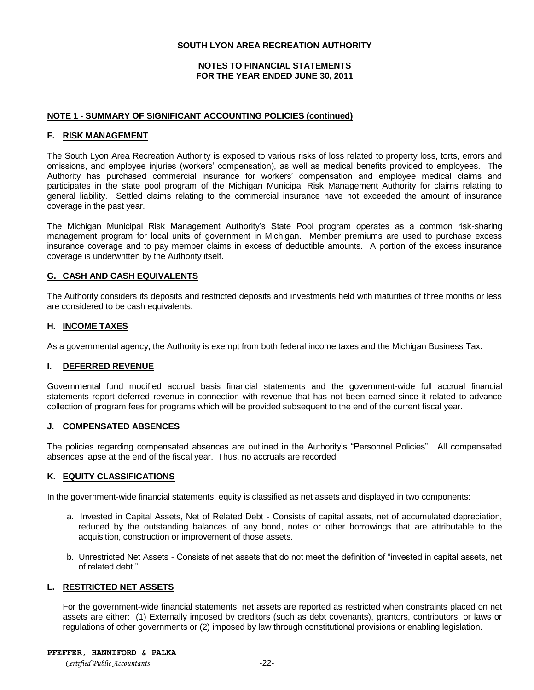# **NOTES TO FINANCIAL STATEMENTS FOR THE YEAR ENDED JUNE 30, 2011**

# **NOTE 1 - SUMMARY OF SIGNIFICANT ACCOUNTING POLICIES (continued)**

# **F. RISK MANAGEMENT**

The South Lyon Area Recreation Authority is exposed to various risks of loss related to property loss, torts, errors and omissions, and employee injuries (workers' compensation), as well as medical benefits provided to employees. The Authority has purchased commercial insurance for workers' compensation and employee medical claims and participates in the state pool program of the Michigan Municipal Risk Management Authority for claims relating to general liability. Settled claims relating to the commercial insurance have not exceeded the amount of insurance coverage in the past year.

The Michigan Municipal Risk Management Authority's State Pool program operates as a common risk-sharing management program for local units of government in Michigan. Member premiums are used to purchase excess insurance coverage and to pay member claims in excess of deductible amounts. A portion of the excess insurance coverage is underwritten by the Authority itself.

# **G. CASH AND CASH EQUIVALENTS**

The Authority considers its deposits and restricted deposits and investments held with maturities of three months or less are considered to be cash equivalents.

# **H. INCOME TAXES**

As a governmental agency, the Authority is exempt from both federal income taxes and the Michigan Business Tax.

# **I. DEFERRED REVENUE**

Governmental fund modified accrual basis financial statements and the government-wide full accrual financial statements report deferred revenue in connection with revenue that has not been earned since it related to advance collection of program fees for programs which will be provided subsequent to the end of the current fiscal year.

# **J. COMPENSATED ABSENCES**

The policies regarding compensated absences are outlined in the Authority's "Personnel Policies". All compensated absences lapse at the end of the fiscal year. Thus, no accruals are recorded.

# **K. EQUITY CLASSIFICATIONS**

In the government-wide financial statements, equity is classified as net assets and displayed in two components:

- a. Invested in Capital Assets, Net of Related Debt Consists of capital assets, net of accumulated depreciation, reduced by the outstanding balances of any bond, notes or other borrowings that are attributable to the acquisition, construction or improvement of those assets.
- b. Unrestricted Net Assets Consists of net assets that do not meet the definition of "invested in capital assets, net of related debt."

# **L. RESTRICTED NET ASSETS**

For the government-wide financial statements, net assets are reported as restricted when constraints placed on net assets are either: (1) Externally imposed by creditors (such as debt covenants), grantors, contributors, or laws or regulations of other governments or (2) imposed by law through constitutional provisions or enabling legislation.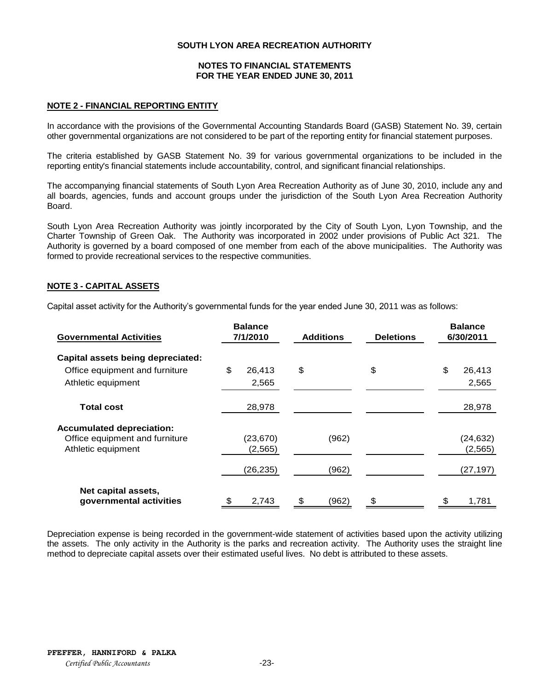# **NOTES TO FINANCIAL STATEMENTS FOR THE YEAR ENDED JUNE 30, 2011**

# **NOTE 2 - FINANCIAL REPORTING ENTITY**

In accordance with the provisions of the Governmental Accounting Standards Board (GASB) Statement No. 39, certain other governmental organizations are not considered to be part of the reporting entity for financial statement purposes.

The criteria established by GASB Statement No. 39 for various governmental organizations to be included in the reporting entity's financial statements include accountability, control, and significant financial relationships.

The accompanying financial statements of South Lyon Area Recreation Authority as of June 30, 2010, include any and all boards, agencies, funds and account groups under the jurisdiction of the South Lyon Area Recreation Authority Board.

South Lyon Area Recreation Authority was jointly incorporated by the City of South Lyon, Lyon Township, and the Charter Township of Green Oak. The Authority was incorporated in 2002 under provisions of Public Act 321. The Authority is governed by a board composed of one member from each of the above municipalities. The Authority was formed to provide recreational services to the respective communities.

# **NOTE 3 - CAPITAL ASSETS**

Capital asset activity for the Authority's governmental funds for the year ended June 30, 2011 was as follows:

| <b>Governmental Activities</b>                 | <b>Balance</b><br>7/1/2010 |           | <b>Additions</b> |       | <b>Deletions</b> | <b>Balance</b><br>6/30/2011 |
|------------------------------------------------|----------------------------|-----------|------------------|-------|------------------|-----------------------------|
| Capital assets being depreciated:              |                            |           |                  |       |                  |                             |
| Office equipment and furniture                 | \$                         | 26,413    | \$               |       | \$               | \$<br>26,413                |
| Athletic equipment                             |                            | 2,565     |                  |       |                  | 2,565                       |
| <b>Total cost</b>                              |                            | 28,978    |                  |       |                  | 28,978                      |
| <b>Accumulated depreciation:</b>               |                            |           |                  |       |                  |                             |
| Office equipment and furniture                 |                            | (23, 670) |                  | (962) |                  | (24, 632)                   |
| Athletic equipment                             |                            | (2, 565)  |                  |       |                  | (2, 565)                    |
|                                                |                            | (26, 235) |                  | (962) |                  | (27, 197)                   |
| Net capital assets,<br>governmental activities |                            | 2,743     | \$               | (962) | \$               | \$<br>1,781                 |

Depreciation expense is being recorded in the government-wide statement of activities based upon the activity utilizing the assets. The only activity in the Authority is the parks and recreation activity. The Authority uses the straight line method to depreciate capital assets over their estimated useful lives. No debt is attributed to these assets.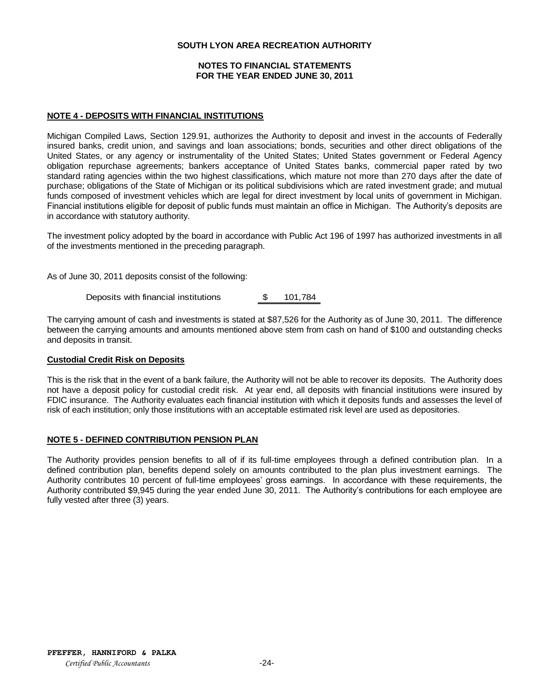# **NOTES TO FINANCIAL STATEMENTS FOR THE YEAR ENDED JUNE 30, 2011**

# **NOTE 4 - DEPOSITS WITH FINANCIAL INSTITUTIONS**

Michigan Compiled Laws, Section 129.91, authorizes the Authority to deposit and invest in the accounts of Federally insured banks, credit union, and savings and loan associations; bonds, securities and other direct obligations of the United States, or any agency or instrumentality of the United States; United States government or Federal Agency obligation repurchase agreements; bankers acceptance of United States banks, commercial paper rated by two standard rating agencies within the two highest classifications, which mature not more than 270 days after the date of purchase; obligations of the State of Michigan or its political subdivisions which are rated investment grade; and mutual funds composed of investment vehicles which are legal for direct investment by local units of government in Michigan. Financial institutions eligible for deposit of public funds must maintain an office in Michigan. The Authority's deposits are in accordance with statutory authority.

The investment policy adopted by the board in accordance with Public Act 196 of 1997 has authorized investments in all of the investments mentioned in the preceding paragraph.

As of June 30, 2011 deposits consist of the following:

Deposits with financial institutions \$ 101,784

The carrying amount of cash and investments is stated at \$87,526 for the Authority as of June 30, 2011. The difference between the carrying amounts and amounts mentioned above stem from cash on hand of \$100 and outstanding checks and deposits in transit.

# **Custodial Credit Risk on Deposits**

This is the risk that in the event of a bank failure, the Authority will not be able to recover its deposits. The Authority does not have a deposit policy for custodial credit risk. At year end, all deposits with financial institutions were insured by FDIC insurance. The Authority evaluates each financial institution with which it deposits funds and assesses the level of risk of each institution; only those institutions with an acceptable estimated risk level are used as depositories.

# **NOTE 5 - DEFINED CONTRIBUTION PENSION PLAN**

The Authority provides pension benefits to all of if its full-time employees through a defined contribution plan. In a defined contribution plan, benefits depend solely on amounts contributed to the plan plus investment earnings. The Authority contributes 10 percent of full-time employees' gross earnings. In accordance with these requirements, the Authority contributed \$9,945 during the year ended June 30, 2011. The Authority's contributions for each employee are fully vested after three (3) years.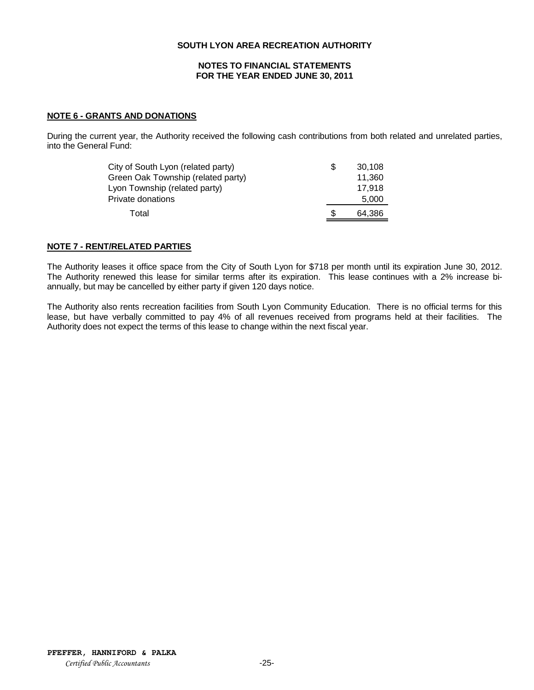# **NOTES TO FINANCIAL STATEMENTS FOR THE YEAR ENDED JUNE 30, 2011**

### **NOTE 6 - GRANTS AND DONATIONS**

During the current year, the Authority received the following cash contributions from both related and unrelated parties, into the General Fund:

| City of South Lyon (related party) | S. | 30.108 |
|------------------------------------|----|--------|
| Green Oak Township (related party) |    | 11.360 |
| Lyon Township (related party)      |    | 17.918 |
| Private donations                  |    | 5.000  |
| Total                              | ß. | 64.386 |

# **NOTE 7 - RENT/RELATED PARTIES**

The Authority leases it office space from the City of South Lyon for \$718 per month until its expiration June 30, 2012. The Authority renewed this lease for similar terms after its expiration. This lease continues with a 2% increase biannually, but may be cancelled by either party if given 120 days notice.

The Authority also rents recreation facilities from South Lyon Community Education. There is no official terms for this lease, but have verbally committed to pay 4% of all revenues received from programs held at their facilities. The Authority does not expect the terms of this lease to change within the next fiscal year.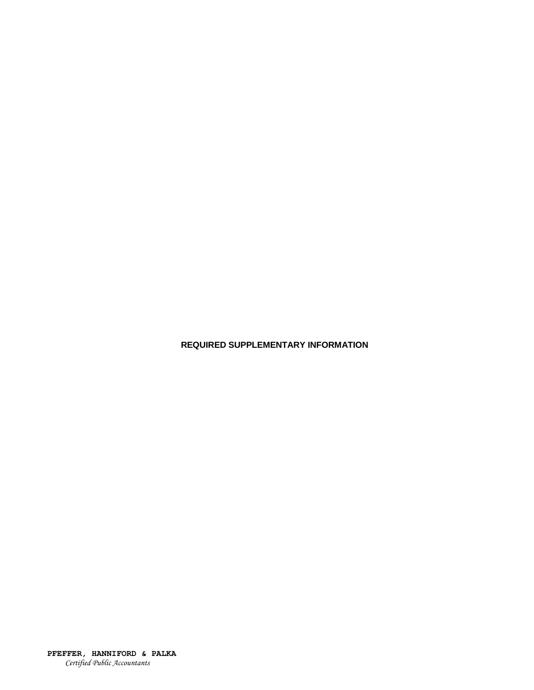**REQUIRED SUPPLEMENTARY INFORMATION**